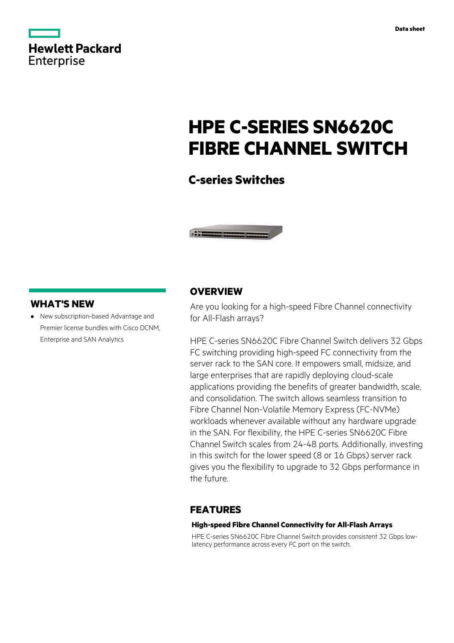|                   | <b>Hewlett Packard</b> |
|-------------------|------------------------|
| <b>Enterprise</b> |                        |

# **HPE C-SERIES SN6620C FIBRE CHANNEL SWITCH**

### **C-series Switches**



### **WHAT'S NEW**

**·** New subscription-based Advantage and Premier license bundles with Cisco DCNM, Enterprise and SAN Analytics

### **OVERVIEW**

Are you looking for a high-speed Fibre Channel connectivity for All-Flash arrays?

HPE C-series SN6620C Fibre Channel Switch delivers 32 Gbps FC switching providing high-speed FC connectivity from the server rack to the SAN core. It empowers small, midsize, and large enterprises that are rapidly deploying cloud-scale applications providing the benefits of greater bandwidth, scale, and consolidation. The switch allows seamless transition to Fibre Channel Non-Volatile Memory Express (FC-NVMe) workloads whenever available without any hardware upgrade in the SAN. For flexibility, the HPE C-series SN6620C Fibre Channel Switch scales from 24-48 ports. Additionally, investing in this switch for the lower speed (8 or 16 Gbps) server rack gives you the flexibility to upgrade to 32 Gbps performance in the future.

### **FEATURES**

### **High-speed Fibre Channel Connectivity for All-Flash Arrays**

HPE C-series SN6620C Fibre Channel Switch provides consistent 32 Gbps lowlatency performance across every FC port on the switch.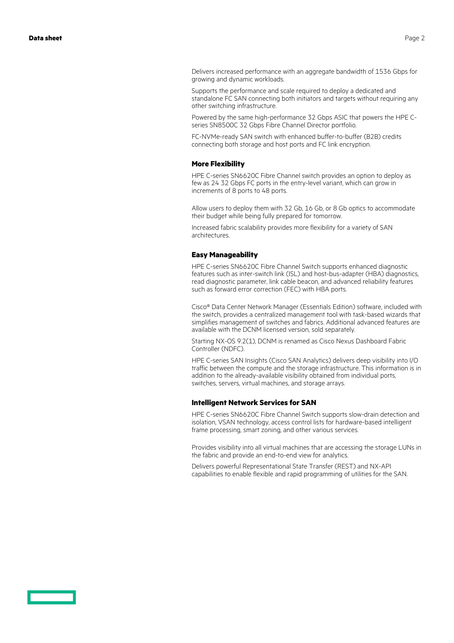Delivers increased performance with an aggregate bandwidth of 1536 Gbps for growing and dynamic workloads.

Supports the performance and scale required to deploy a dedicated and standalone FC SAN connecting both initiators and targets without requiring any other switching infrastructure.

Powered by the same high-performance 32 Gbps ASIC that powers the HPE Cseries SN8500C 32 Gbps Fibre Channel Director portfolio.

FC-NVMe-ready SAN switch with enhanced buffer-to-buffer (B2B) credits connecting both storage and host ports and FC link encryption.

#### **More Flexibility**

HPE C-series SN6620C Fibre Channel switch provides an option to deploy as few as 24 32 Gbps FC ports in the entry-level variant, which can grow in increments of 8 ports to 48 ports.

Allow users to deploy them with 32 Gb, 16 Gb, or 8 Gb optics to accommodate their budget while being fully prepared for tomorrow.

Increased fabric scalability provides more flexibility for a variety of SAN architectures.

#### **Easy Manageability**

HPE C-series SN6620C Fibre Channel Switch supports enhanced diagnostic features such as inter-switch link (ISL) and host-bus-adapter (HBA) diagnostics, read diagnostic parameter, link cable beacon, and advanced reliability features such as forward error correction (FEC) with HBA ports.

Cisco® Data Center Network Manager (Essentials Edition) software, included with the switch, provides a centralized management tool with task-based wizards that simplifies management of switches and fabrics. Additional advanced features are available with the DCNM licensed version, sold separately.

Starting NX-OS 9.2(1), DCNM is renamed as Cisco Nexus Dashboard Fabric Controller (NDFC).

HPE C-series SAN Insights (Cisco SAN Analytics) delivers deep visibility into I/O traffic between the compute and the storage infrastructure. This information is in addition to the already-available visibility obtained from individual ports, switches, servers, virtual machines, and storage arrays.

#### **Intelligent Network Services for SAN**

HPE C-series SN6620C Fibre Channel Switch supports slow-drain detection and isolation, VSAN technology, access control lists for hardware-based intelligent frame processing, smart zoning, and other various services.

Provides visibility into all virtual machines that are accessing the storage LUNs in the fabric and provide an end-to-end view for analytics.

Delivers powerful Representational State Transfer (REST) and NX-API capabilities to enable flexible and rapid programming of utilities for the SAN.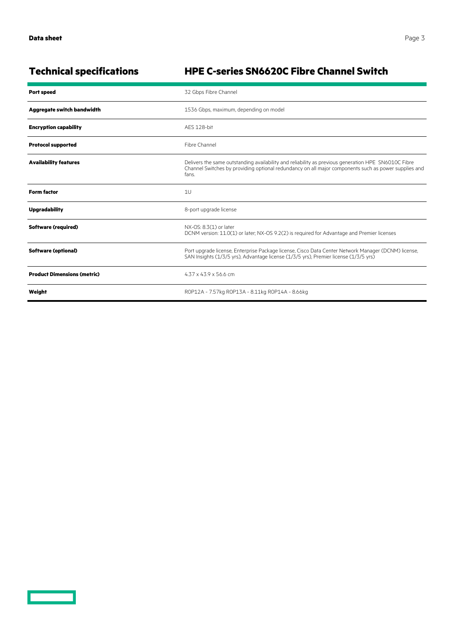$\overline{\phantom{0}}$ 

## **Technical specifications HPE C-series SN6620C Fibre Channel Switch**

| <b>Port speed</b>                  | 32 Gbps Fibre Channel                                                                                                                                                                                                |  |
|------------------------------------|----------------------------------------------------------------------------------------------------------------------------------------------------------------------------------------------------------------------|--|
| Aggregate switch bandwidth         | 1536 Gbps, maximum, depending on model                                                                                                                                                                               |  |
| <b>Encryption capability</b>       | AFS 128-bit                                                                                                                                                                                                          |  |
| <b>Protocol supported</b>          | Fibre Channel                                                                                                                                                                                                        |  |
| <b>Availability features</b>       | Delivers the same outstanding availability and reliability as previous generation HPE SN6010C Fibre<br>Channel Switches by providing optional redundancy on all major components such as power supplies and<br>fans. |  |
| <b>Form factor</b>                 | 1U                                                                                                                                                                                                                   |  |
| <b>Upgradability</b>               | 8-port upgrade license                                                                                                                                                                                               |  |
| <b>Software (required)</b>         | NX-OS: 8.3(1) or later<br>DCNM version: 11.0(1) or later; NX-OS 9.2(2) is required for Advantage and Premier licenses                                                                                                |  |
| <b>Software (optional)</b>         | Port upgrade license, Enterprise Package license, Cisco Data Center Network Manager (DCNM) license,<br>SAN Insights (1/3/5 yrs), Advantage license (1/3/5 yrs), Premier license (1/3/5 yrs)                          |  |
| <b>Product Dimensions (metric)</b> | $4.37 \times 43.9 \times 56.6$ cm                                                                                                                                                                                    |  |
| Weight                             | R0P12A - 7.57kg R0P13A - 8.11kg R0P14A - 8.66kg                                                                                                                                                                      |  |